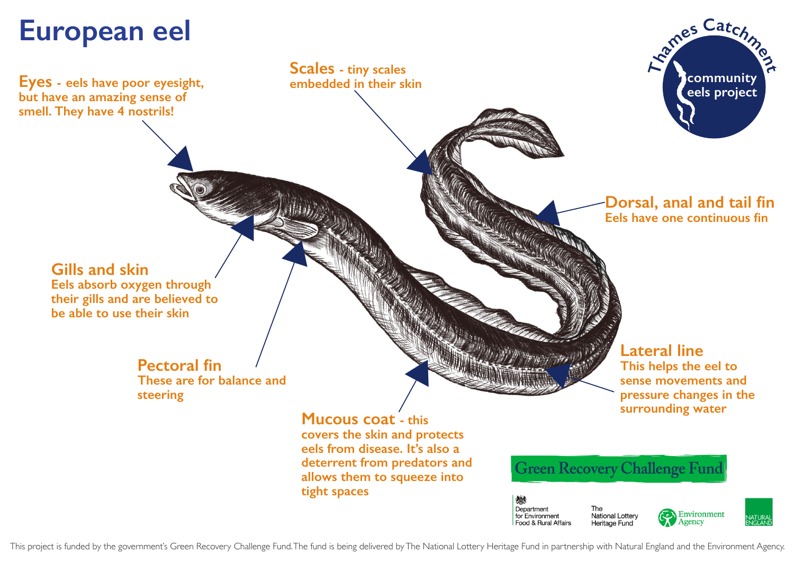## **European eel**

**Eyes - eels have poor eyesight, but have an amazing sense of smell. They have 4 nostrils!**

**Scales - tiny scales embedded in their skin**



## **Dorsal, anal and tail fin Eels have one continuous fin**

**Gills and skin**

**Eels absorb oxygen through their gills and are believed to be able to use their skin**

> **Pectoral fin These are for balance and steering**

X

**Mucous coat - this covers the skin and protects eels from disease. It's also a deterrent from predators and allows them to squeeze into tight spaces**

No. of the Contract of

**Lateral line This helps the eel to sense movements and pressure changes in the surrounding water**



Department for Environment **National Lottery** Food & Rural Affairs Heritage Fund

**CATHRON CONTROLLER** 





This project is funded by the government's Green Recovery Challenge Fund. The fund is being delivered by The National Lottery Heritage Fund in partnership with Natural England and the Environment Agency.